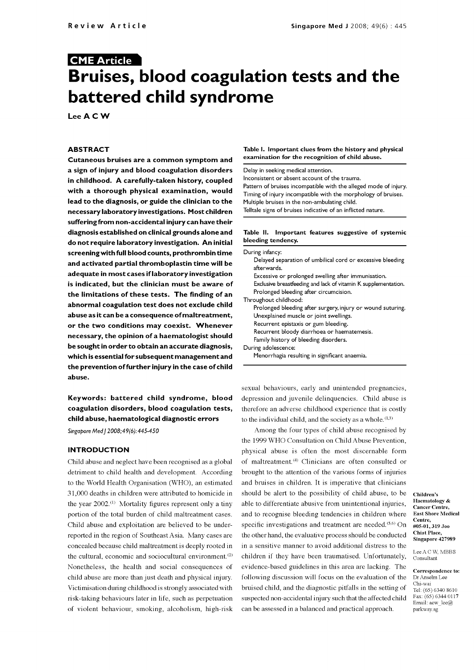# CME Article Bruises, blood coagulation tests and the battered child syndrome

Lee A C W

#### ABSTRACT

Cutaneous bruises are a common symptom and a sign of injury and blood coagulation disorders in childhood. A carefully -taken history, coupled with a thorough physical examination, would lead to the diagnosis, or guide the clinician to the necessary laboratory investigations. Most children suffering from non -accidental injury can have their diagnosis established on clinical grounds alone and do not require laboratory investigation. An initial screening with full blood counts, prothrombin time and activated partial thromboplastin time will be adequate in most cases if laboratory investigation is indicated, but the clinician must be aware of the limitations of these tests. The finding of an abnormal coagulation test does not exclude child abuse as it can be a consequence of maltreatment, or the two conditions may coexist. Whenever necessary, the opinion of a haematologist should be sought in order to obtain an accurate diagnosis, which is essential for subsequent management and the prevention of further injury in the case of child abuse.

Keywords: battered child syndrome, blood coagulation disorders, blood coagulation tests, child abuse, haematological diagnostic errors

Singapore Med | 2008;49(6): 445-450

## **INTRODUCTION**

Child abuse and neglect have been recognised as a global detriment to child health and development. According to the World Health Organisation (WHO), an estimated 31,000 deaths in children were attributed to homicide in the year  $2002$ .<sup>(1)</sup> Mortality figures represent only a tiny portion of the total burden of child maltreatment cases. Child abuse and exploitation are believed to be underreported in the region of Southeast Asia. Many cases are concealed because child maltreatment is deeply rooted in the cultural, economic and sociocultural environment. $(2)$ Nonetheless, the health and social consequences of child abuse are more than just death and physical injury. Victimisation during childhood is strongly associated with of violent behaviour, smoking, alcoholism, high-risk

#### Table I. Important clues from the history and physical examination for the recognition of child abuse.

Delay in seeking medical attention.

Inconsistent or absent account of the trauma. Pattern of bruises incompatible with the alleged mode of injury. Timing of injury incompatible with the morphology of bruises. Multiple bruises in the non-ambulating child. Telltale signs of bruises indicative of an inflicted nature.

#### Table II. Important features suggestive of systemic bleeding tendency.

| During infancy:                                                |
|----------------------------------------------------------------|
| Delayed separation of umbilical cord or excessive bleeding     |
| afterwards.                                                    |
| Excessive or prolonged swelling after immunisation.            |
| Exclusive breastfeeding and lack of vitamin K supplementation. |
| Prolonged bleeding after circumcision.                         |
| Throughout childhood:                                          |
| Prolonged bleeding after surgery, injury or wound suturing.    |
| Unexplained muscle or joint swellings.                         |
| Recurrent epistaxis or gum bleeding.                           |
| Recurrent bloody diarrhoea or haematemesis.                    |
| Family history of bleeding disorders.                          |
| During adolescence:                                            |
| Menorrhagia resulting in significant anaemia.                  |
|                                                                |

sexual behaviours, early and unintended pregnancies, depression and juvenile delinquencies. Child abuse is therefore an adverse childhood experience that is costly to the individual child, and the society as a whole. $(1,3)$ 

risk-taking behaviours later in life, such as perpetuation suspected non-accidental injury such that the affected child Among the four types of child abuse recognised by the 1999 WHO Consultation on Child Abuse Prevention, physical abuse is often the most discernable form of maltreatment.<sup>(4)</sup> Clinicians are often consulted or brought to the attention of the various forms of injuries and bruises in children. It is imperative that clinicians should be alert to the possibility of child abuse, to be able to differentiate abusive from unintentional injuries, and to recognise bleeding tendencies in children where specific investigations and treatment are needed. $(5,6)$  On the other hand, the evaluative process should be conducted in a sensitive manner to avoid additional distress to the children if they have been traumatised. Unfortunately, evidence -based guidelines in this area are lacking. The following discussion will focus on the evaluation of the Dr Anselm Lee bruised child, and the diagnostic pitfalls in the setting of  $\frac{\text{cm}}{\text{Tel}:\text{(65)}\,6340\,8610}$ can be assessed in a balanced and practical approach.

Children's Haematology & Cancer Centre, East Shore Medical Centre, #05-01, 319 Joo Chiat Place, Singapore 427989

Lee ACW, MBBS Consultant

Correspondence to: Chi-wai Fax: (65) 6344 0117 Email: acw\_lee@ parkway.sg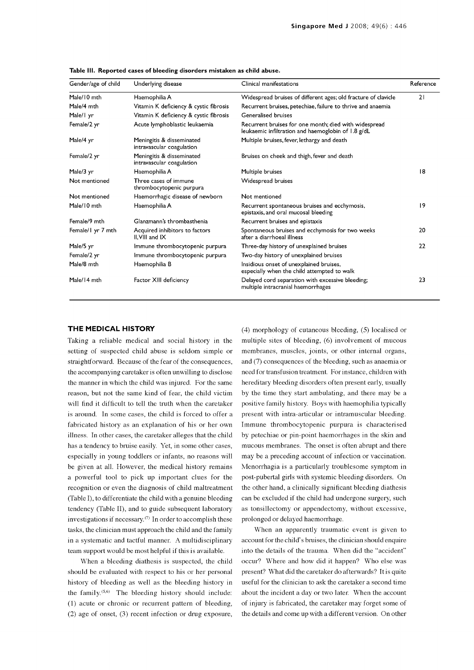| Gender/age of child | Underlying disease                                     | Clinical manifestations                                                                                     | Reference |
|---------------------|--------------------------------------------------------|-------------------------------------------------------------------------------------------------------------|-----------|
| Male/10 mth         | Haemophilia A                                          | Widespread bruises of different ages; old fracture of clavicle                                              | 21        |
| Male/4 mth          | Vitamin K deficiency & cystic fibrosis                 | Recurrent bruises, petechiae, failure to thrive and anaemia                                                 |           |
| Male/I yr           | Vitamin K deficiency & cystic fibrosis                 | Generalised bruises                                                                                         |           |
| Female/2 yr         | Acute lymphoblastic leukaemia                          | Recurrent bruises for one month; died with widespread<br>leukaemic infiltration and haemoglobin of 1.8 g/dL |           |
| Male/4 yr           | Meningitis & disseminated<br>intravascular coagulation | Multiple bruises, fever, lethargy and death                                                                 |           |
| Female/2 yr         | Meningitis & disseminated<br>intravascular coagulation | Bruises on cheek and thigh, fever and death                                                                 |           |
| Male/3 yr           | Haemophilia A                                          | Multiple bruises                                                                                            | 8         |
| Not mentioned       | Three cases of immune<br>thrombocytopenic purpura      | Widespread bruises                                                                                          |           |
| Not mentioned       | Haemorrhagic disease of newborn                        | Not mentioned                                                                                               |           |
| Male/10 mth         | Haemophilia A                                          | Recurrent spontaneous bruises and ecchymosis,<br>epistaxis, and oral mucosal bleeding                       | 9         |
| Female/9 mth        | Glanzmann's thrombasthenia                             | Recurrent bruises and epistaxis                                                                             |           |
| Female/1 yr 7 mth   | Acquired inhibitors to factors<br>II.VIII and IX       | Spontaneous bruises and ecchymosis for two weeks<br>after a diarrhoeal illness                              | 20        |
| Male/5 yr           | Immune thrombocytopenic purpura                        | Three-day history of unexplained bruises                                                                    | 22        |
| Female/2 yr         | Immune thrombocytopenic purpura                        | Two-day history of unexplained bruises                                                                      |           |
| Male/8 mth          | Haemophilia B                                          | Insidious onset of unexplained bruises,<br>especially when the child attempted to walk                      |           |
| Male/14 mth         | Factor XIII deficiency                                 | Delayed cord separation with excessive bleeding;<br>multiple intracranial haemorrhages                      | 23        |

Table Ill. Reported cases of bleeding disorders mistaken as child abuse.

#### THE MEDICAL HISTORY

setting of suspected child abuse is seldom simple or straightforward. Because of the fear of the consequences, and (7) consequences of the bleeding, such as anaemia or the accompanying caretaker is often unwilling to disclose the manner in which the child was injured. For the same reason, but not the same kind of fear, the child victim will find it difficult to tell the truth when the caretaker is around. In some cases, the child is forced to offer a fabricated history as an explanation of his or her own Immune thrombocytopenic purpura is characterised illness. In other cases, the caretaker alleges that the child by petechiae or pin-point haemorrhages in the skin and has a tendency to bruise easily. Yet, in some other cases, especially in young toddlers or infants, no reasons will be given at all. However, the medical history remains a powerful tool to pick up important clues for the recognition or even the diagnosis of child maltreatment (Table I), to differentiate the child with a genuine bleeding tendency (Table II), and to guide subsequent laboratory investigations if necessary. $\sigma$  In order to accomplish these tasks, the clinician must approach the child and the family in a systematic and tactful manner. A multidisciplinary team support would be most helpful if this is available.

should be evaluated with respect to his or her personal history of bleeding as well as the bleeding history in the family. $(5,6)$  The bleeding history should include: (1) acute or chronic or recurrent pattern of bleeding, (2) age of onset, (3) recent infection or drug exposure,

Taking a reliable medical and social history in the multiple sites of bleeding, (6) involvement of mucous (4) morphology of cutaneous bleeding, (5) localised or membranes, muscles, joints, or other internal organs, need for transfusion treatment. For instance, children with hereditary bleeding disorders often present early, usually by the time they start ambulating, and there may be a positive family history. Boys with haemophilia typically present with intra -articular or intramuscular bleeding. Immune thrombocytopenic purpura is characterised mucous membranes. The onset is often abrupt and there may be a preceding account of infection or vaccination. Menorrhagia is a particularly troublesome symptom in post -pubertal girls with systemic bleeding disorders. On the other hand, a clinically significant bleeding diathesis as tonsillectomy or appendectomy, without excessive, prolonged or delayed haemorrhage.

When a bleeding diathesis is suspected, the child occur? Where and how did it happen? Who else was When an apparently traumatic event is given to account for the child's bruises, the clinician should enquire into the details of the trauma. When did the "accident" present? What did the caretaker do afterwards? It is quite useful for the clinician to ask the caretaker a second time about the incident a day or two later. When the account of injury is fabricated, the caretaker may forget some of the details and come up with a different version. On other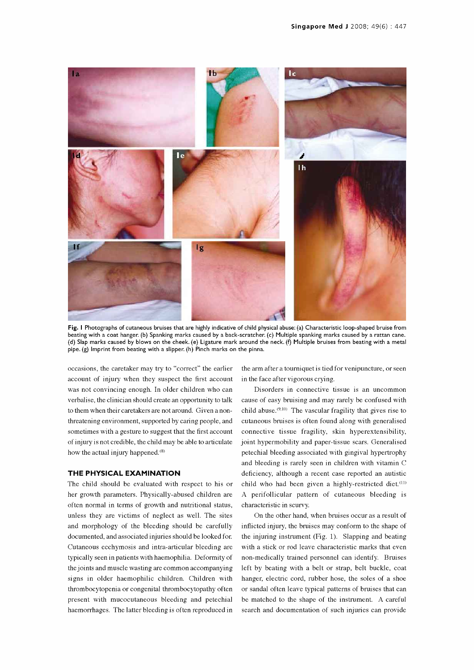

Fig. I Photographs of cutaneous bruises that are highly indicative of child physical abuse: (a) Characteristic loop-shaped bruise from beating with a coat hanger. (b) Spanking marks caused by a back-scratcher. (c) Multiple spanking marks caused by a rattan cane.<br>(d) Slap marks caused by blows on the cheek. (e) Ligature mark around the neck. (f) Multiple b pipe. (g) Imprint from beating with a slipper. (h) Pinch marks on the pinna.

occasions, the caretaker may try to "correct" the earlier account of injury when they suspect the first account was not convincing enough. In older children who can verbalise, the clinician should create an opportunity to talk to them when their caretakers are not around. Given a non threatening environment, supported by caring people, and sometimes with a gesture to suggest that the first account of injury is not credible, the child may be able to articulate how the actual injury happened.<sup>(8)</sup>

#### THE PHYSICAL EXAMINATION

The child should be evaluated with respect to his or her growth parameters. Physically -abused children are often normal in terms of growth and nutritional status, unless they are victims of neglect as well. The sites and morphology of the bleeding should be carefully documented, and associated injuries should be looked for. the joints and muscle wasting are common accompanying thrombocytopenia or congenital thrombocytopathy often present with mucocutaneous bleeding and petechial haemorrhages. The latter bleeding is often reproduced in

the arm after a tourniquet is tied for venipuncture, or seen in the face after vigorous crying.

Disorders in connective tissue is an uncommon cause of easy bruising and may rarely be confused with child abuse.<sup>(9,10)</sup> The vascular fragility that gives rise to cutaneous bruises is often found along with generalised connective tissue fragility, skin hyperextensibility, joint hypermobility and paper-tissue scars. Generalised petechial bleeding associated with gingival hypertrophy and bleeding is rarely seen in children with vitamin C deficiency, although a recent case reported an autistic child who had been given a highly-restricted diet.<sup>(11)</sup> A perifollicular pattern of cutaneous bleeding is characteristic in scurvy.

Cutaneous ecchymosis and intra-articular bleeding are with a stick or rod leave characteristic marks that even<br>typically seen in patients with haemophilia. Deformity of non-medically trained personnel can identify. Bruises signs in older haemophilic children. Children with hanger, electric cord, rubber hose, the soles of a shoe On the other hand, when bruises occur as a result of inflicted injury, the bruises may conform to the shape of the injuring instrument (Fig. 1). Slapping and beating non-medically trained personnel can identify. Bruises left by beating with a belt or strap, belt buckle, coat or sandal often leave typical patterns of bruises that can be matched to the shape of the instrument. A careful search and documentation of such injuries can provide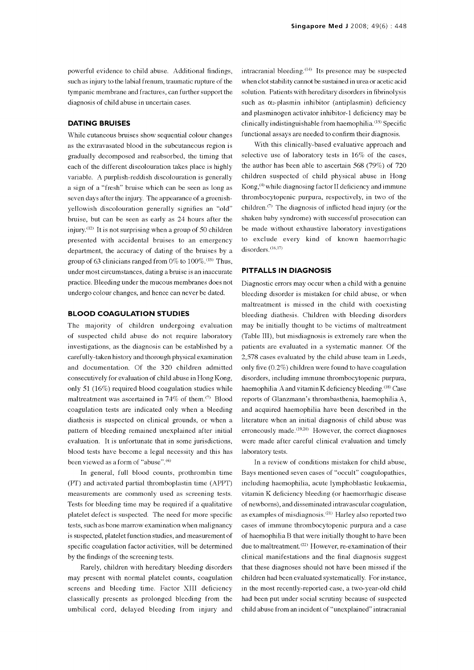powerful evidence to child abuse. Additional findings, such as injury to the labial frenum, traumatic rupture of the tympanic membrane and fractures, can further support the diagnosis of child abuse in uncertain cases.

#### DATING BRUISES

While cutaneous bruises show sequential colour changes as the extravasated blood in the subcutaneous region is gradually decomposed and reabsorbed, the timing that each of the different discolouration takes place is highly variable. A purplish-reddish discolouration is generally a sign of a "fresh" bruise which can be seen as long as seven days after the injury. The appearance of a greenishyellowish discolouration generally signifies an "old" bruise, but can be seen as early as 24 hours after the injury. $(12)$  It is not surprising when a group of 50 children presented with accidental bruises to an emergency department, the accuracy of dating of the bruises by a group of 63 clinicians ranged from  $0\%$  to  $100\%$ .<sup>(13)</sup> Thus, under most circumstances, dating a bruise is an inaccurate practice. Bleeding under the mucous membranes does not undergo colour changes, and hence can never be dated.

#### BLOOD COAGULATION STUDIES

The majority of children undergoing evaluation of suspected child abuse do not require laboratory investigations, as the diagnosis can be established by a carefully -taken history and thorough physical examination and documentation. Of the 320 children admitted consecutively for evaluation of child abuse in Hong Kong, only 51 (16%) required blood coagulation studies while maltreatment was ascertained in 74% of them.<sup> $(7)$ </sup> Blood coagulation tests are indicated only when a bleeding diathesis is suspected on clinical grounds, or when a pattern of bleeding remained unexplained after initial evaluation. It is unfortunate that in some jurisdictions, blood tests have become a legal necessity and this has been viewed as a form of "abuse". (6)

In general, full blood counts, prothrombin time (PT) and activated partial thromboplastin time (APPT) measurements are commonly used as screening tests. Tests for bleeding time may be required if a qualitative platelet defect is suspected. The need for more specific tests, such as bone marrow examination when malignancy is suspected, platelet function studies, and measurement of specific coagulation factor activities, will be determined by the findings of the screening tests.

Rarely, children with hereditary bleeding disorders may present with normal platelet counts, coagulation screens and bleeding time. Factor XIII deficiency classically presents as prolonged bleeding from the umbilical cord, delayed bleeding from injury and intracranial bleeding. $(14)$  Its presence may be suspected when clot stability cannot be sustained in urea or acetic acid solution. Patients with hereditary disorders in fibrinolysis such as  $\alpha_2$ -plasmin inhibitor (antiplasmin) deficiency and plasminogen activator inhibitor-1 deficiency may be  $clinically$  indistinguishable from haemophilia.<sup> $(15)$ </sup> Specific functional assays are needed to confirm their diagnosis.

With this clinically -based evaluative approach and selective use of laboratory tests in 16% of the cases, the author has been able to ascertain 568 (79%) of 720 children suspected of child physical abuse in Hong Kong,<sup>(4)</sup> while diagnosing factor II deficiency and immune thrombocytopenic purpura, respectively, in two of the children. $\sigma$  The diagnosis of inflicted head injury (or the shaken baby syndrome) with successful prosecution can be made without exhaustive laboratory investigations to exclude every kind of known haemorrhagic disorders.<sup>(16,17)</sup>

#### PITFALLS IN DIAGNOSIS

Diagnostic errors may occur when a child with a genuine bleeding disorder is mistaken for child abuse, or when maltreatment is missed in the child with coexisting bleeding diathesis. Children with bleeding disorders may be initially thought to be victims of maltreatment (Table III), but misdiagnosis is extremely rare when the patients are evaluated in a systematic manner. Of the 2,578 cases evaluated by the child abuse team in Leeds, only five (0.2%) children were found to have coagulation disorders, including immune thrombocytopenic purpura, haemophilia A and vitamin K deficiency bleeding.<sup>(18)</sup> Case reports of Glanzmann's thrombasthenia, haemophilia A, and acquired haemophilia have been described in the literature when an initial diagnosis of child abuse was erroneously made.<sup> $(19,20)$ </sup> However, the correct diagnoses were made after careful clinical evaluation and timely laboratory tests.

In a review of conditions mistaken for child abuse, Bays mentioned seven cases of "occult" coagulopathies, including haemophilia, acute lymphoblastic leukaemia, vitamin K deficiency bleeding (or haemorrhagic disease of newborns), and disseminated intravascular coagulation, as examples of misdiagnosis. (21) Harley also reported two cases of immune thrombocytopenic purpura and a case of haemophilia B that were initially thought to have been due to maltreatment. (22) However, re-examination of their clinical manifestations and the final diagnosis suggest that these diagnoses should not have been missed if the children had been evaluated systematically. For instance, in the most recently-reported case, a two-year-old child had been put under social scrutiny because of suspected child abuse from an incident of "unexplained" intracranial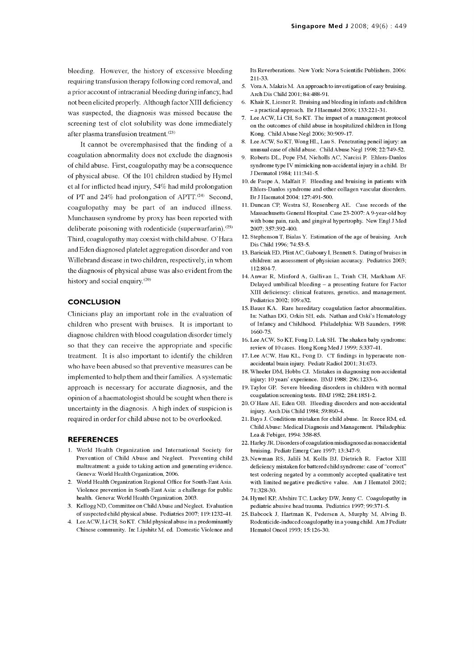bleeding. However, the history of excessive bleeding requiring transfusion therapy following cord removal, and a prior account of intracranial bleeding during infancy, had not been elicited properly. Although factor XIII deficiency was suspected, the diagnosis was missed because the screening test of clot solubility was done immediately after plasma transfusion treatment.<sup>(23)</sup>

It cannot be overemphasised that the finding of a coagulation abnormality does not exclude the diagnosis of child abuse. First, coagulopathy may be a consequence of physical abuse. Of the 101 children studied by Hymel et al for inflicted head injury, 54% had mild prolongation of PT and  $24\%$  had prolongation of APTT.<sup> $(24)$ </sup> Second, coagulopathy may be part of an induced illness. Munchausen syndrome by proxy has been reported with deliberate poisoning with rodenticide (superwarfarin).<sup>(25)</sup> Third, coagulopathy may coexist with child abuse. O'Hara and Eden diagnosed platelet aggregation disorder and von Willebrand disease in two children, respectively, in whom the diagnosis of physical abuse was also evident from the history and social enquiry. $(20)$ 

#### **CONCLUSION**

Clinicians play an important role in the evaluation of children who present with bruises. It is important to diagnose children with blood coagulation disorder timely so that they can receive the appropriate and specific treatment. It is also important to identify the children who have been abused so that preventive measures can be implemented to help them and their families. A systematic approach is necessary for accurate diagnosis, and the opinion of a haematologist should be sought when there is uncertainty in the diagnosis. A high index of suspicion is required in order for child abuse not to be overlooked.

#### REFERENCES

- 1. World Health Organization and International Society for Prevention of Child Abuse and Neglect. Preventing child maltreatment: a guide to taking action and generating evidence. Geneva: World Health Organization, 2006.
- 2. World Health Organization Regional Office for South -East Asia. Violence prevention in South -East Asia: a challenge for public health. Geneva: World Health Organization, 2003.
- 3. Kellogg ND, Committee on Child Abuse and Neglect. Evaluation of suspected child physical abuse. Pediatrics 2007; 119:1232-41.
- 4. Lee ACW, Li CH, So KT. Child physical abuse in a predominantly Chinese community. In: Lipshitz M, ed. Domestic Violence and

Its Reverberations. New York: Nova Scientific Publishers, 2006: 211-33.

- 5. Vora A, Makris M. An approach to investigation of easy bruising.<br> Arch Dis Child 2001; 84:488-91.<br> 6. Khair K, Liesner R. Bruising and bleeding in infants and children 5. Vora A, Makris M. An approach to investigation of easy bruising. Arch Dis Child 2001; 84:488-91.
- -a practical approach. Br J Haematol 2006; 133:221-31.
- 7. Lee ACW, Li CH, So KT. The impact of a management protocol on the outcomes of child abuse in hospitalized children in Hong Kong. Child Abuse Negl 2006; 30:909-17.
- 8. Lee ACW, So KT, Wong HL, Lau S. Penetrating pencil injury: an<br>1998; 22:749-52.<br>9. Roberts DL, Pope FM, Nicholls AC, Narcisi P. Ehlers-Danlos Lee ACW, So KT, Wong HL, Lau S. Penetrating pencil injury: an unusual case of child abuse. Child Abuse Negl 1998; 22:749-52.
- syndrome type IV mimicking non -accidental injury in a child. Br J Dermatol 1984; 111:341-5.
- 10. de Paepe A, Malfait F. Bleeding and bruising in patients with Ehlers-Danlos syndrome and other collagen vascular disorders. Br J Haematol 2004; 127:491-500.
- 11. Duncan CP, Westra SJ, Rosenberg AE. Case records of the Massachusetts General Hospital. Case 23-2007: A 9 -year -old boy with bone pain, rash, and gingival hypertrophy. New Engl J Med 2007; 357:392-400.
- 12. Stephenson T, Bialas Y. Estimation of the age of bruising. Arch<br>Dis Child 1996; 74:53-5.<br>13. Bariciak ED, Plint AC, Gaboury I, Bennett S. Dating of bruises in 12. Stephenson T, Bialas Y. Estimation of the age of bruising. Arch Dis Child 1996; 74:53-5.
- children: an assessment of physician accuracy. Pediatrics 2003; 112:804-7.
- 14. Anwar R, Minford A, Gallivan L, Trinh CH, Markham AF. Delayed umbilical bleeding - a presenting feature for Factor XIII deficiency: clinical features, genetics, and management. Pediatrics 2002; 109:e32.
- 15. Bauer KA. Rare hereditary coagulation factor abnormalities. In: Nathan DG, Orkin SH, eds. Nathan and Oski's Hematology of Infancy and Childhood. Philadelphia: WB Saunders, 1998: 1660-75.
- Lee ACW, So KT, Fong D, Luk SH. The shaken baby syndrome: review of 10 cases. Hong Kong Med J 1999; 5:337-41.
- 17. Lee ACW, Hau KL, Fong D. CT findings in hyperacute nonaccidental brain injury. Pediatr Radiol 2001; 31:673.
- Wheeler DM, Hobbs CJ. Mistakes in diagnosing non -accidental injury: 10 years' experience. BMJ 1988; 296:1233-6.
- Taylor GP. Severe bleeding disorders in children with normal coagulation screening tests. BMJ 1982; 284:1851-2.
- 20. O'Hare AE, Eden OB. Bleeding disorders and non-accidental injury. Arch Dis Child 1984; 59:860-4.
- 21. Bays J. Conditions mistaken for child abuse. In: Reece RM, ed. Child Abuse: Medical Diagnosis and Management. Philadephia: Lea & Febiger, 1994: 358-85.
- 22. Harley JR. Disorders of coagulation misdiagnosed as nonaccidental bruising. Pediatr Emerg Care 1997; 13:347-9.
- 23. Newman RS, Jalili M, Kolls BJ, Dietrich R. Factor XIII deficiency mistaken for battered child syndrome: case of "correct" test ordering negated by a commonly accepted qualitative test with limited negative predictive value. Am J Hematol 2002; 71:328-30.
- 24. Hymel KP, Abshire TC, Luckey DW, Jenny C. Coagulopathy in pediatric abusive head trauma. Pediatrics 1997; 99:371-5.
- 25. Babcock J, Hartman K, Pedersen A, Murphy M, Alving B. Rodenticide-induced coagulopathy in a young child. Am J Pediatr Hematol Oncol 1993; 15:126-30.